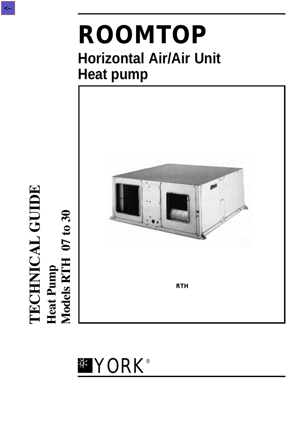# **ROOMTOP Horizontal Air/Air Unit Heat pump**



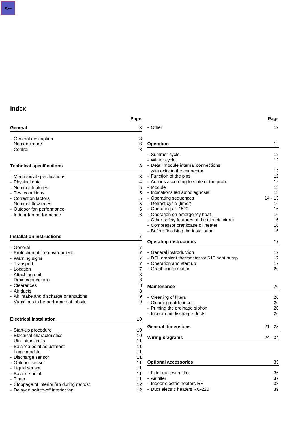### **Index**

|                                           | Page |                                                 | Page      |
|-------------------------------------------|------|-------------------------------------------------|-----------|
| General                                   | 3    | - Other                                         | 12        |
| - General description                     | 3    |                                                 |           |
| - Nomenclature                            | 3    | <b>Operation</b>                                | 12        |
| - Control                                 | 3    |                                                 |           |
|                                           |      | - Summer cycle                                  | 12        |
|                                           |      | - Winter cycle                                  | 12        |
| <b>Technical specifications</b>           | 3    | - Detail module internal connections            |           |
|                                           |      | with exits to the connector                     | 12        |
| - Mechanical specifications               | 3    | - Function of the pins                          | 12        |
| - Physical data                           | 4    | - Actions according to state of the probe       | 12        |
| - Nominal features                        | 5    | - Module                                        | 13        |
| - Test conditions                         | 5    | - Indications led autodiagnosis                 | 13        |
| - Correction factors                      | 5    | - Operating sequences                           | $14 - 15$ |
| - Nominal flow-rates                      | 5    | - Defrost cycle (timer)                         | 16        |
| - Outdoor fan performance                 | 6    | - Operating at -15°C                            | 16        |
| - Indoor fan performance                  | 6    | - Operation on emergency heat                   | 16        |
|                                           |      | - Other safety features of the electric circuit | 16        |
|                                           |      | - Compressor crankcase oil heater               | 16        |
|                                           |      | - Before finalising the installation            | 16        |
| <b>Installation instructions</b>          | 7    | <b>Operating instructions</b>                   | 17        |
| - General                                 | 7    |                                                 |           |
| - Protection of the environment           | 7    | - General instroduction                         | 17        |
| - Warning signs                           |      | - DSL ambient thermostat for 610 heat pump      | 17        |
| - Transport                               | 7    | - Operation and start up                        | 17        |
| - Location                                | 7    | - Graphic information                           | 20        |
| - Attaching unit                          | 8    |                                                 |           |
| - Drain connections                       | 8    |                                                 |           |
| - Clearances                              | 8    | <b>Maintenance</b>                              | 20        |
| - Air ducts                               | 8    |                                                 |           |
| - Air intake and discharge orientations   | 9    | - Cleaning of filters                           | 20        |
| - Variations to be performed at jobsite   | 9    | - Cleaning outdoor coil                         | 20        |
|                                           |      | - Priming the dreinage siphon                   | 20        |
|                                           |      | - Indoor unit discharge ducts                   | 20        |
| <b>Electrical installation</b>            | 10   |                                                 |           |
|                                           |      | <b>General dimensions</b>                       |           |
| - Start-up procedure                      | 10   |                                                 | $21 - 23$ |
| - Electrical characteristics              | 10   | <b>Wiring diagrams</b>                          | $24 - 34$ |
| - Utilization limits                      | 11   |                                                 |           |
| - Balance point adjustment                | 11   |                                                 |           |
| - Logic module                            | 11   |                                                 |           |
| - Discharge sensor                        | 11   |                                                 |           |
| - Outdoor sensor                          | 11   | <b>Optional accessories</b>                     | 35        |
| - Liquid sensor                           | 11   |                                                 |           |
| - Balance point                           | 11   | - Filter rack with filter                       | 36        |
| - Timer                                   | 11   | - Air filter                                    | 37        |
| - Stoppage of inferior fan during defrost | 12   | - Indoor electric heaters RH                    | 38        |
| - Delayed switch-off interior fan         | 12   | - Duct electric heaters RC-220                  | 39        |
|                                           |      |                                                 |           |

**Page**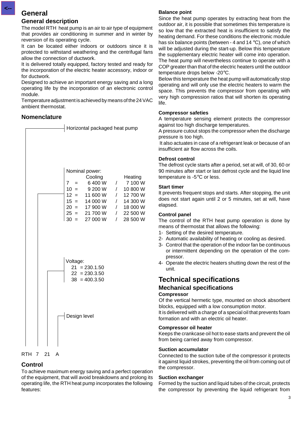### **General**

**<--**

### **General description**

The model RTH heat pump is an air to air type of equipment that provides air conditioning in summer and in winter by reversion of its operating cycle.

It can be located either indoors or outdoors since it is protected to withstand weathering and the centrifugal fans allow the connection of ductwork.

It is delivered totally equipped, factory tested and ready for the incorporation of the electric heater accessory, indoor or for ductwork.

Designed to achieve an important energy saving and a long operating life by the incorporation of an electronic control module.

Temperature adjustment is achieved by means of the 24 VAC ambient thermostat.

### **Nomenclature**





### **Control**

To achieve maximum energy saving and a perfect operation of the equipment, that will avoid breakdowns and prolong its operating life, the RTH heat pump incorporates the following features:

### **Balance point**

Since the heat pump operates by extracting heat from the outdoor air, it is possible that sometimes this temperature is so low that the extracted heat is insufficient to satisfy the heating demand. For these conditions the electronic module has six balance points (between - 4 and 14 °C), one of which will be adjusted during the start-up. Below this temperature the supplementary electric heater will come into operation. The heat pump will nevertheless continue to operate with a COP greater than that of the electric heaters until the outdoor temperature drops below -20°C.

Below this temperature the heat pump will automatically stop operating and will only use the electric heaters to warm the space. This prevents the compressor from operating with very high compression ratios that will shorten its operating life.

### **Compressor safeties**

A temperature sensing element protects the compressor against too high discharge temperatures.

A pressure cutout stops the compressor when the discharge pressure is too high.

 It also actuates in case of a refrigerant leak or because of an insufficient air flow across the coils.

### **Defrost control**

The defrost cycle starts after a period, set at will, of 30, 60 or 90 minutes after start or last defrost cycle and the liquid line temperature is -5°C or less.

### **Start timer**

It prevents frequent stops and starts. After stopping, the unit does not start again until 2 or 5 minutes, set at will, have elapsed.

### **Control panel**

The control of the RTH heat pump operation is done by means of thermostat that allows the following:

- 1- Setting of the desired temperature.
- 2- Automatic availability of heating or cooling as desired.
- 3- Control that the operation of the indoor fan be continuous or intermittent depending on the operation of the compressor.
- 4- Operate the electric heaters shutting down the rest of the unit.

## **Technical specifications**

#### **Mechanical specifications Compressor**

Of the vertical hermetic type, mounted on shock absorbent blocks, equipped with a low consumption motor.

It is delivered with a charge of a special oil that prevents foam formation and with an electric oil heater.

### **Compressor oil heater**

Keeps the crankcase oil hot to ease starts and prevent the oil from being carried away from compressor.

#### **Suction accumulator**

Connected to the suction tube of the compressor it protects it against liquid strokes, preventing the oil from coming out of the compressor.

#### **Suction exchanger**

Formed by the suction and liquid tubes of the circuit, protects the compressor by preventing the liquid refrigerant from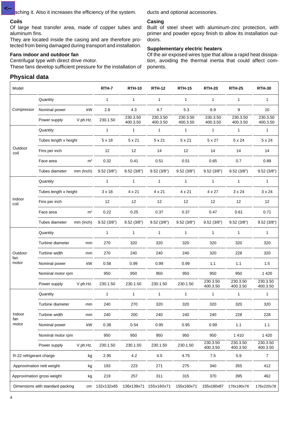aching it. Also it increases the efficiency of the system.

#### **Coils**

**<--**

Of large heat transfer area, made of copper tubes and aluminum fins.

They are located inside the casing and are therefore protected from being damaged during transport and installation.

### **Fans indoor and outdoor fan**

Centrifugal type with direct drive motor.

These fans develop sufficient pressure for the installation of

ducts and optional accessories.

#### **Casing**

Built of steel sheet with aluminum-zinc protection, with primer and powder epoxy finish to allow its installation outdoors.

#### **Supplementary electric heaters**

Of the air exposed wires type that allow a rapid heat dissipation, avoiding the thermal inertia that could affect components.

### **Physical data**

| Model                   |                                  |                | RTH-7         | <b>RTH-10</b>        | <b>RTH-12</b>        | <b>RTH-15</b>        | <b>RTH-20</b>        | <b>RTH-25</b>        | <b>RTH-30</b>        |
|-------------------------|----------------------------------|----------------|---------------|----------------------|----------------------|----------------------|----------------------|----------------------|----------------------|
|                         | Quantity                         |                | 1             | $\mathbf{1}$         | 1                    | 1                    | $\mathbf{1}$         | $\mathbf{1}$         | 1                    |
| Compressor              | Nominal power                    | kW             | 2.8           | 4.3                  | 4.7                  | 5.3                  | 6.9                  | 9                    | 10                   |
|                         | Power supply                     | V.ph.Hz.       | 230.1.50      | 230.3.50<br>400.3.50 | 230.3.50<br>400.3.50 | 230.3.50<br>400.3.50 | 230.3.50<br>400.3.50 | 230.3.50<br>400.3.50 | 230.3.50<br>400.3.50 |
|                         | Quantity                         |                | $\mathbf{1}$  | $\mathbf{1}$         | 1                    | 1                    | $\mathbf{1}$         | 1                    | 1                    |
|                         | Tubes length x height            |                | 5 x 18        | 5 x 21               | 5 x 21               | 5 x 21               | 5 x 27               | 5 x 24               | 5 x 24               |
| Outdoor<br>coil         | Fins per inch                    |                | 12            | 12                   | 14                   | 12                   | 14                   | 14                   | 14                   |
|                         | Face area                        | m <sup>2</sup> | 0.32          | 0.41                 | 0.51                 | 0.51                 | 0.65                 | 0.7                  | 0.89                 |
|                         | Tubes diameter                   | mm (Inch)      | 9.52(3/8")    | 9.52(3/8")           | 9.52(3/8")           | 9.52(3/8")           | 9.52(3/8")           | 9.52(3/8")           | 9.52(3/8")           |
|                         | Quantity                         |                | 1             | $\mathbf{1}$         | $\mathbf{1}$         | $\mathbf{1}$         | $\mathbf{1}$         | $\mathbf{1}$         | $\mathbf{1}$         |
|                         | Tubes length x height            |                | $3 \times 18$ | 4 x 21               | 4 x 21               | 4 x 21               | 4 x 27               | $3 \times 24$        | $3 \times 24$        |
| Indoor<br>coil          | Fins per inch                    |                | 12            | 12                   | 12                   | 12                   | 12                   | 12                   | 12                   |
|                         | Face area                        | m <sup>2</sup> | 0.22          | 0.25                 | 0.37                 | 0.37                 | 0.47                 | 0.61                 | 0.71                 |
|                         | Tubes diameter                   | mm (Inch)      | 9.52(3/8")    | 9.52(3/8")           | 9.52(3/8")           | 9.52(3/8")           | 9.52(3/8")           | 9.52(3/8")           | 9.52(3/8")           |
|                         | Quantity                         |                | 1             | $\mathbf{1}$         | 1                    | $\mathbf{1}$         | $\mathbf{1}$         | $\mathbf{1}$         | $\mathbf{1}$         |
|                         | Turbine diameter                 | mm             | 270           | 320                  | 320                  | 320                  | 320                  | 320                  | 320                  |
| Outdoor                 | Turbine width                    | mm             | 270           | 240                  | 240                  | 240                  | 320                  | 228                  | 320                  |
| fan<br>motor            | Nominal power                    | kW             | 0.58          | 0.99                 | 0.99                 | 0.99                 | 1.1                  | 1.1                  | 1.5                  |
|                         | Nominal motor rpm                |                | 950           | 950                  | 950                  | 950                  | 950                  | 950                  | 1 4 2 0              |
|                         | Power supply                     | V.ph.Hz.       | 230.1.50      | 230.1.50             | 230.1.50             | 230.1.50             | 230.3.50<br>400.3.50 | 230.3.50<br>400.3.50 | 230.3.50<br>400.3.50 |
|                         | Quantity                         |                | 1             | $\mathbf{1}$         | 1                    | $\mathbf{1}$         | $\mathbf{1}$         | 1                    | $\mathbf{1}$         |
|                         | Turbine diameter                 | mm             | 240           | 270                  | 320                  | 320                  | 320                  | 320                  | 320                  |
| Indoor<br>fan           | Turbine width                    | mm             | 240           | 200                  | 240                  | 240                  | 240                  | 228                  | 228                  |
| motor                   | Nominal power                    | kW             | 0.38          | 0.54                 | 0.95                 | 0.95                 | 0.99                 | 1.1                  | 1.1                  |
|                         | Nominal motor rpm                |                | 950           | 950                  | 950                  | 950                  | 950                  | 1 4 1 0              | 1 4 2 0              |
|                         | Power supply                     | V.ph.Hz.       | 230.1.50      | 230.1.50             | 230.1.50             | 230.1.50             | 230.3.50<br>400.3.50 | 230.3.50<br>400.3.50 | 230.3.50<br>400.3.50 |
| R-22 refrigerant charge |                                  | kg             | 2.95          | 4.2                  | 4.5                  | 4.75                 | 7.5                  | 5.9                  | $\overline{7}$       |
|                         | Approximation nett weight        | kg             | 193           | 223                  | 271                  | 275                  | 340                  | 355                  | 412                  |
|                         | Approximation gross weight       | kg             | 219           | 257                  | 311                  | 315                  | 370                  | 395                  | 462                  |
|                         | Dimensions with standard packing | cm             | 132x132x65    | 136x139x71           | 155x160x71           | 155x160x71           | 155x160x87           | 176x180x78           | 176x220x78           |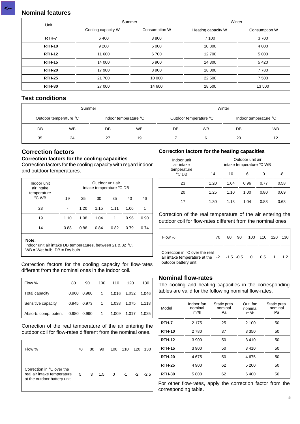### **Nominal features**

| Unit          | Summer             |               | Winter             |               |  |
|---------------|--------------------|---------------|--------------------|---------------|--|
|               | Cooling capacity W | Consumption W | Heating capacity W | Consumption W |  |
| RTH-7         | 6400               | 3800          | 7 100              | 3700          |  |
| <b>RTH-10</b> | 9 2 0 0            | 5 0 0 0       | 10 800             | 4 0 0 0       |  |
| <b>RTH-12</b> | 11 600             | 6700          | 12 700             | 5 0 0 0       |  |
| <b>RTH-15</b> | 14 000             | 6900          | 14 300             | 5 4 2 0       |  |
| <b>RTH-20</b> | 17 900             | 8900          | 18 000             | 7 7 8 0       |  |
| <b>RTH-25</b> | 21 700             | 10 000        | 22 500             | 7 500         |  |
| <b>RTH-30</b> | 27 000             | 14 600        | 28 500             | 13 500        |  |

### **Test conditions**

|    | Winter<br>Summer       |    |                       |  |                        |    |                       |  |
|----|------------------------|----|-----------------------|--|------------------------|----|-----------------------|--|
|    | Outdoor temperature °C |    | Indoor temperature °C |  | Outdoor temperature °C |    | Indoor temperature °C |  |
| DB | <b>WB</b>              | DB | <b>WB</b>             |  | <b>WB</b>              | DB | <b>WB</b>             |  |
| 35 | 24                     | 27 | 19                    |  |                        | 20 |                       |  |

### **Correction factors**

#### **Correction factors for the cooling capacities**

Correction factors for the cooling capacity with regard indoor and outdoor temperatures.

| Indoor unit<br>air intake |      |      | Outdoor unit air<br>intake temperature °C DB |      |      |      |
|---------------------------|------|------|----------------------------------------------|------|------|------|
| temperature<br>°C WB      | 19   | 25   | 30                                           | 35   | 40   | 46   |
| 23                        |      | 1.20 | 1.15                                         | 1.11 | 1.06 |      |
| 19                        | 1.10 | 1.08 | 1.04                                         |      | 0.96 | 0.90 |
| 14                        | 0.88 | 0.86 | 0.84                                         | 0.82 | 0.79 | 0.74 |

#### **Note:**

Indoor unit air intake DB temperatures, between 21 & 32 °C.  $WB = Wet$  bulb.  $DB = Dry$  bulb.

Correction factors for the cooling capacity for flow-rates different from the nominal ones in the indoor coil.

| Flow %               | 80    | 90          | 100            | 110   | 120   | 130   |
|----------------------|-------|-------------|----------------|-------|-------|-------|
| Total capacity       | 0.960 | 0.980       | $\overline{1}$ | 1.016 | 1.032 | 1.046 |
| Sensitive capacity   |       | 0.945 0.973 | $1 \quad$      | 1.038 | 1.075 | 1.118 |
| Absorb. comp. poten. | 0.980 | 0.990       | $\overline{1}$ | 1.009 | 1.017 | 1.025 |

#### Correction of the real temperature of the air entering the outdoor coil for flow-rates different from the nominal ones.

| Flow %                                                                                  | 70          | 80 | 90  | 100 | 110  | 120  | 130    |
|-----------------------------------------------------------------------------------------|-------------|----|-----|-----|------|------|--------|
| Correction in °C over the<br>real air intake temperature<br>at the outdoor battery unit | $5^{\circ}$ | 3  | 1.5 | - 0 | $-1$ | $-2$ | $-2.5$ |

### **Correction factors for the heating capacities**

| Indoor unit<br>air intake     |      | Outdoor unit air<br>intake temperature °C WB |      |      |      |
|-------------------------------|------|----------------------------------------------|------|------|------|
| temperature<br>$^{\circ}$ CDB | 14   | 10                                           | 6    |      | -8   |
| 23                            | 1.20 | 1.04                                         | 0.96 | 0.77 | 0.58 |
| 20                            | 1.25 | 1.10                                         | 1.00 | 0.80 | 0.69 |
| 17                            | 1.30 | 1.13                                         | 1.04 | 0.83 | 0.63 |

Correction of the real temperature of the air entering the outdoor coil for flow-rates different from the nominal ones.

| Flow %                                                                                                             | 70 | 80 | 90 | 100 110 | 120 130 |     |
|--------------------------------------------------------------------------------------------------------------------|----|----|----|---------|---------|-----|
| Correction in °C over the real<br>air intake temperature at the $-2$ $-1.5$ $-0.5$ 0 0.5 1<br>outdoor battery unit |    |    |    |         |         | 1.2 |

### **Nominal flow-rates**

The cooling and heating capacities in the corresponding tables are valid for the following nominal flow-rates.

| Model         | Indoor fan<br>nominal<br>$m^3/h$ | Static pres.<br>nominal<br>Pa | Out. fan<br>nominal<br>$m^3/h$ | Static pres.<br>nominal<br>Pa |
|---------------|----------------------------------|-------------------------------|--------------------------------|-------------------------------|
| RTH-7         | 2 1 7 5                          | 25                            | 2 100                          | 50                            |
| <b>RTH-10</b> | 2780                             | 37                            | 3 3 5 0                        | 50                            |
| <b>RTH-12</b> | 3 9 0 0                          | 50                            | 3410                           | 50                            |
| <b>RTH-15</b> | 3 9 0 0                          | 50                            | 3410                           | 50                            |
| <b>RTH-20</b> | 4675                             | 50                            | 4675                           | 50                            |
| <b>RTH-25</b> | 4 9 0 0                          | 62                            | 5 200                          | 50                            |
| <b>RTH-30</b> | 5800                             | 62                            | 6400                           | 50                            |

For other flow-rates, apply the correction factor from the  $\Box$  corresponding table.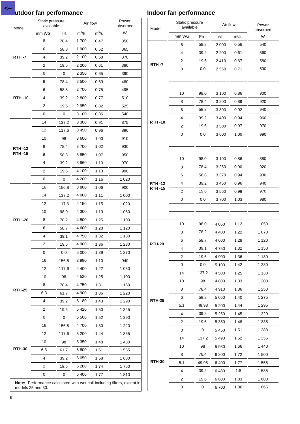### **Lutdoor fan performance**

**<--**

| Model         | Static pressure<br>available |       | Air flow |         | Power<br>absorbed |
|---------------|------------------------------|-------|----------|---------|-------------------|
|               | mm WG                        | Pa    | $m^3/h$  | $m^3/s$ | W                 |
|               | 8                            | 78.4  | 1700     | 0.47    | 350               |
|               | 6                            | 58.8  | 1900     | 0.52    | 365               |
| <b>RTH-7</b>  | 4                            | 39.2  | 2 100    | 0.58    | 370               |
|               | 2                            | 19.6  | 2 200    | 0.61    | 380               |
|               | 0                            | 0     | 2 3 5 0  | 0.65    | 390               |
|               | 8                            | 78.4  | 2 500    | 0.69    | 480               |
|               | 6                            | 58.8  | 2700     | 0.75    | 495               |
| <b>RTH-10</b> | 4                            | 39.2  | 2800     | 0.77    | 510               |
|               | 2                            | 19.6  | 2950     | 0.82    | 525               |
|               | 0                            | 0     | 3 100    | 0.86    | 540               |
|               | 14                           | 137.2 | 3 3 0 0  | 0.91    | 875               |
|               | 12                           | 117.6 | 3450     | 0.96    | 890               |
|               | 10                           | 98    | 3600     | 1.00    | 910               |
| <b>RTH-12</b> | 8                            | 78.4  | 3700     | 1.02    | 930               |
| <b>RTH-15</b> | 6                            | 58.8  | 3850     | 1.07    | 950               |
|               | 4                            | 39.2  | 3960     | 1.10    | 970               |
|               | 2                            | 19.6  | 4 100    | 1.13    | 990               |
|               | 0                            | 0     | 4 200    | 1.16    | 1 0 2 0           |
|               | 16                           | 156.8 | 3800     | 1.06    | 900               |
|               | 14                           | 137.2 | 4 000    | 1.11    | 1 000             |
|               | 12                           | 117.6 | 4 150    | 1.15    | 1 0 2 0           |
|               | 10                           | 98.0  | 4 300    | 1.19    | 1 0 5 0           |
| <b>RTH-20</b> | 8                            | 78.2  | 4 500    | 1.25    | 1 100             |
|               | 6                            | 58.7  | 4600     | 1.28    | 1 1 2 0           |
|               | 4                            | 39.1  | 4750     | 1.32    | 1 1 8 0           |
|               | 2                            | 19.6  | 4 900    | 1.36    | 1 230             |
|               | 0                            | 0.0   | 5 0 0 0  | 1.39    | 1 270             |
|               | 16                           | 156.8 | 3980     | 1.10    | 940               |
|               | 12                           | 117.6 | 4 4 0 0  | 1.22    | 1 0 5 0           |
|               | 10                           | 98    | 4 5 2 0  | 1.25    | 1 100             |
|               | 8                            | 78.4  | 4750     | 1.31    | 1 160             |
| <b>RTH-25</b> | 6.3                          | 61.7  | 4 900    | 1.36    | 1 2 2 0           |
|               | 4                            | 39.2  | 5 1 8 0  | 1.43    | 1 2 9 0           |
|               | 2                            | 19.6  | 5 4 20   | 1.50    | 1 3 4 5           |
|               | 0                            | 0     | 5 5 0 0  | 1.52    | 1 390             |
|               | 16                           | 156.8 | 4700     | 1.30    | 1 2 2 0           |
|               | 12                           | 117.6 | 5 200    | 1.44    | 1 3 6 5           |
|               | 10                           | 98    | 5 3 5 0  | 1.48    | 1 4 3 0           |
| <b>RTH-30</b> | 6.3                          | 61.7  | 5 800    | 1.61    | 1585              |
|               | 4                            | 39.2  | 6 0 5 0  | 1.68    | 1680              |
|               | 2                            | 19.6  | 6 2 8 0  | 1.74    | 1750              |
|               | 0                            | 0     | 6400     | 1.77    | 1810              |

### **Indoor fan performance**

| Static pressure<br>available<br>Model |                | Air flow     |         | Power<br>absorbed |         |
|---------------------------------------|----------------|--------------|---------|-------------------|---------|
|                                       | mm WG          | Pa           | $m^3/h$ | $m^3/s$           | W       |
|                                       | 6              | 58.8         | 2 0 0 0 | 0.56              | 540     |
|                                       | 4              | 39.2         | 2 2 0 0 | 0.61              | 560     |
| <b>RTH-7</b>                          | 2              | 19.6         | 2410    | 0.67              | 580     |
|                                       | 0              | 0.0          | 2550    | 0.71              | 590     |
|                                       | 10             | 98.0         | 3 100   | 0.86              | 900     |
|                                       | 8              | 78.4         | 3 200   | 0.89              | 920     |
|                                       | 6              | 58.8         | 3 3 0 0 | 0.92              | 940     |
|                                       | 4              | 39.2         | 3 4 0 0 | 0.94              | 960     |
| <b>RTH-10</b>                         | $\overline{2}$ | 19.6         | 3500    | 0.97              | 970     |
|                                       | 0              | 0.0          | 3600    | 1.00              | 990     |
|                                       | 10             | 98.0         | 3 100   | 0.86              | 880     |
|                                       | 8              | 78.4         | 3 2 5 0 | 0.90              | 920     |
|                                       | 6              | 58.8         | 3 3 7 0 | 0.94              | 930     |
| <b>RTH-12</b>                         | 4              | 39.2         | 3450    | 0.96              | 940     |
| RTH -15                               | 2              | 19.6         | 3560    | 0.99              | 970     |
|                                       | 0              | 0.0          | 3700    | 1.03              | 980     |
|                                       | 10             |              | 4 0 5 0 |                   | 1 0 5 0 |
|                                       | 8              | 98.0<br>78.2 | 4 4 0 0 | 1.12<br>1.22      | 1 070   |
|                                       | 6              | 58.7         | 4 600   | 1.28              | 1 1 2 0 |
| RTH-20                                | 4              | 39.1         | 4750    | 1.32              | 1 1 5 0 |
|                                       | 2              | 19.6         | 4 9 0 0 | 1.36              | 1 1 8 0 |
|                                       | 0              | 0.0          | 5 100   | 1.42              | 1 2 3 0 |
|                                       | 14             | 137.2        | 4 500   | 1.25              | 1 1 3 0 |
|                                       | 10             | 98           | 4 800   | 1.33              | 1 200   |
|                                       | 8              | 78.4         | 4910    | 1.36              | 1 2 5 0 |
|                                       | 6              | 58.8         | 5 0 5 0 | 1.40              | 1 275   |
| <b>RTH-25</b>                         | 5.1            | 49.98        | 5 200   | 1.44              | 1 295   |
|                                       | 4              | 39.2         | 5 2 5 0 | 1.45              | 1 3 2 0 |
|                                       | 2              | 19.6         | 5 3 5 0 | 1.48              | 1 3 3 5 |
|                                       | 0              | 0            | 5 4 5 0 | 1.51              | 1 3 8 8 |
|                                       | 14             | 137.2        | 5490    | 1.52              | 1 3 5 5 |
|                                       | 10             | 98           | 5 9 8 0 | 1.66              | 1440    |
|                                       | 8              | 78.4         | 6 200   | 1.72              | 1 500   |
| <b>RTH-30</b>                         | 5.1            | 49.98        | 6400    | 1.77              | 1 555   |
|                                       | 4              | 39.2         | 6480    | 1.8               | 1585    |
|                                       | 2              | 19.6         | 6 600   | 1.83              | 1600    |
|                                       | 0              | 0            | 6700    | 1.86              | 1 6 6 5 |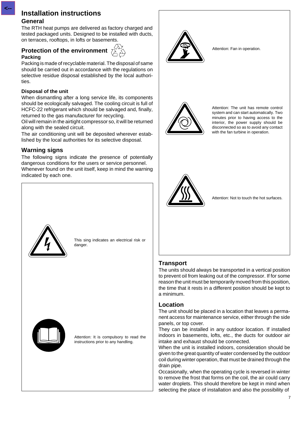### **Installation instructions**

### **General**

**<--**

The RTH heat pumps are delivered as factory charged and tested packaged units. Designed to be installed with ducts, on terraces, rooftops, in lofts or basements.

### **Protection of the environment Packing**



Packing is made of recyclable material. The disposal of same should be carried out in accordance with the regulations on selective residue disposal established by the local authorities.

### **Disposal of the unit**

When dismantling after a long service life, its components should be ecologically salvaged. The cooling circuit is full of HCFC-22 refrigerant which should be salvaged and, finally, returned to the gas manufacturer for recycling.

Oil will remain in the airtight compressor so, it will be returned along with the sealed circuit.

The air conditioning unit will be deposited wherever established by the local authorities for its selective disposal.

### **Warning signs**

The following signs indicate the presence of potentially dangerous conditions for the users or service personnel. Whenever found on the unit itself, keep in mind the warning indicated by each one.



Attention: Fan in operation.



Attention: The unit has remote control system and can start automatically. Two minutes prior to having access to the interior, the power supply should be disconnected so as to avoid any contact with the fan turbine in operation.



Attention: Not to touch the hot surfaces.



This sing indicates an electrical risk or danger.



Attention: It is compulsory to read the instructions prior to any handling.

### **Transport**

The units should always be transported in a vertical position to prevent oil from leaking out of the compressor. If for some reason the unit must be temporarily moved from this position, the time that it rests in a different position should be kept to a minimum.

### **Location**

The unit should be placed in a location that leaves a permanent access for maintenance service, either through the side panels, or top cover.

They can be installed in any outdoor location. If installed indoors in basements, lofts, etc., the ducts for outdoor air intake and exhaust should be connected.

When the unit is installed indoors, consideration should be given to the great quantity of water condensed by the outdoor coil during winter operation, that must be drained through the drain pipe.

Occasionally, when the operating cycle is reversed in winter to remove the frost that forms on the coil, the air could carry water droplets. This should therefore be kept in mind when selecting the place of installation and also the possibility of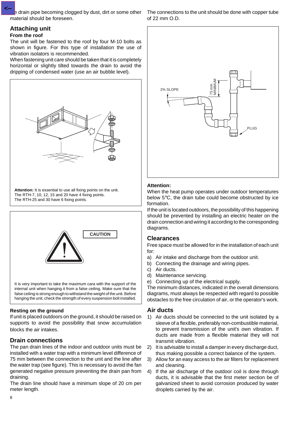**E** drain pipe becoming clogged by dust, dirt or some other material should be foreseen. **<--**

### **Attaching unit**

### **From the roof**

The unit will be fastened to the roof by four M-10 bolts as shown in figure. For this type of installation the use of vibration isolators is recommended.

When fastening unit care should be taken that it is completely horizontal or slightly tilted towards the drain to avoid the dripping of condensed water (use an air bubble level).



**Attention:** It is essential to use all fixing points on the unit. The RTH-7, 10, 12, 15 and 20 have 4 fixing points. The RTH-25 and 30 have 6 fixing points.



### **Resting on the ground**

If unit is placed outdoors on the ground, it should be raised on supports to avoid the possibility that snow accumulation blocks the air intakes.

### **Drain connections**

The pan drain lines of the indoor and outdoor units must be installed with a water trap with a minimum level difference of 75 mm between the connection to the unit and the line after the water trap (see figure). This is necessary to avoid the fan generated negative pressure preventing the drain pan from draining.

The drain line should have a minimum slope of 20 cm per meter length.

The connections to the unit should be done with copper tube of 22 mm O.D.



### **Attention:**

When the heat pump operates under outdoor temperatures below 5°C, the drain tube could become obstructed by ice formation.

If the unit is located outdoors, the possibility of this happening should be prevented by installing an electric heater on the drain connection and wiring it according to the corresponding diagrams.

### **Clearances**

Free space must be allowed for in the installation of each unit for:

- a) Air intake and discharge from the outdoor unit.
- b) Connecting the drainage and wiring pipes.
- c) Air ducts.
- d) Maintenance servicing.
- e) Connecting up of the electrical supply.

The minimum distances, indicated in the overall dimensions diagrams, must always be respected with regard to possible obstacles to the free circulation of air, or the operator's work.

### **Air ducts**

- 1) Air ducts should be connected to the unit isolated by a sleeve of a flexible, preferably non-combustible material, to prevent transmission of the unit's own vibration. If ducts are made from a flexible material they will not transmit vibration.
- 2) It is advisable to install a damper in every discharge duct, thus making possible a correct balance of the system.
- 3) Allow for an easy access to the air filters for replacement and cleaning.
- 4) If the air discharge of the outdoor coil is done through ducts, it is advisable that the first meter section be of galvanized sheet to avoid corrosion produced by water droplets carried by the air.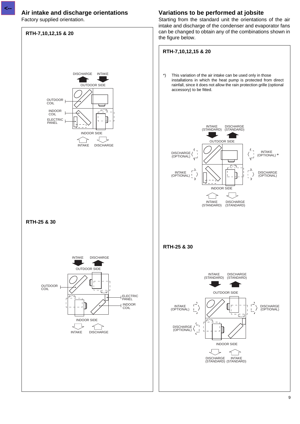### **Air intake and discharge orientations**

Factory supplied orientation.



**Variations to be performed at jobsite**

Starting from the standard unit the orientations of the air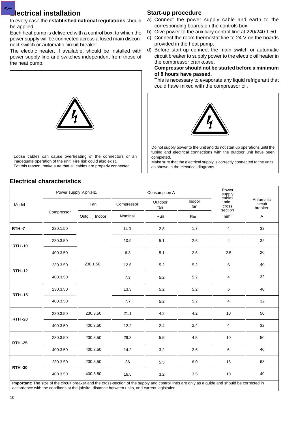### **Electrical installation**

**<--**

In every case the **established national regulations** should be applied.

Each heat pump is delivered with a control box, to which the power supply will be connected across a fused main disconnect switch or automatic circuit breaker.

The electric heater, if available, should be installed with power supply line and switches independent from those of the heat pump.



### **Electrical characteristics**

### **Start-up procedure**

- a) Connect the power supply cable and earth to the corresponding boards on the controls box.
- b) Give power to the auxiliary control line at 220/240.1.50.
- c) Connect the room thermostat line to 24 V on the boards provided in the heat pump.
- d) Before start-up connect the main switch or automatic circuit breaker to supply power to the electric oil heater in the compressor crankcase.

#### **Compressor should not be started before a minimum of 8 hours have passed.**

This is necessary to evaporate any liquid refrigerant that could have mixed with the compressor oil.



Do not supply power to the unit and do not start up operations until the tubing and electrical connections with the outdoor unit have been completed.

Make sure that the electrical supply is correctly connected to the units, as shown in the electrical diagrams.

|               |            | Power supply V.ph.Hz. |            | Consumption A  | Power<br>supply<br>cables |                          |                                 |
|---------------|------------|-----------------------|------------|----------------|---------------------------|--------------------------|---------------------------------|
| Model         | Compressor | Fan                   | Compressor | Outdoor<br>fan | Indoor<br>fan             | min.<br>cross<br>section | Automatic<br>circuit<br>breaker |
|               |            | Outd. _ Indoor        | Nominal    | Run            | Run                       | mm <sup>2</sup>          | A                               |
| <b>RTH-7</b>  | 230.1.50   |                       | 14.3       | 2.8            | 1.7                       | 4                        | 32                              |
| <b>RTH-10</b> | 230.3.50   |                       | 10.9       | 5.1            | 2.6                       | 4                        | 32                              |
|               | 400.3.50   |                       | 6.3        | 5.1            | 2.6                       | 2.5                      | $20\,$                          |
| <b>RTH-12</b> | 230.3.50   | 230.1.50              | 12.6       | 5.2            | 5.2                       | 6                        | 40                              |
|               | 400.3.50   |                       | 7.3        | 5.2            | 5.2<br>5.2<br>$5.2\,$     | 4                        | 32                              |
| <b>RTH-15</b> | 230.3.50   |                       | 13.3       | $5.2\,$        |                           | 6                        | 40                              |
|               | 400.3.50   |                       | 7.7        | 5.2            |                           | 4                        | 32                              |
| <b>RTH-20</b> | 230.3.50   | 230.3.50              | 21.1       | 4.2            | 4.2                       | 10                       | 50                              |
|               | 400.3.50   | 400.3.50              | 12.2       | $2.4\,$        | 2.4                       | 4                        | 32                              |
| <b>RTH-25</b> | 230.3.50   | 230.3.50              | 29.3       | 5.5            | 4.5                       | 10                       | 50                              |
|               | 400.3.50   | 400.3.50              | 14.2       | 3.2            | 2.6                       | 6                        | 40                              |
| <b>RTH-30</b> | 230.3.50   | 230.3.50              | 36         | $5.5\,$        | $6.0\,$                   | 16                       | 63                              |
|               | 400.3.50   | 400.3.50              | 16.5       | $3.2\,$        | 3.5                       | 10                       | 40                              |

**Important:** The size of the circuit breaker and the cross-section of the supply and control lines are only as a guide and should be corrected in accordance with the conditons at the jobsite, distance between units, and current legislation.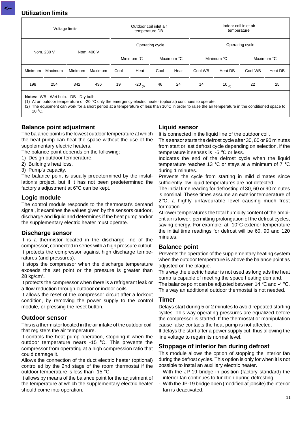**<--**

| Voltage limits |         |                |         | Indoor coil inlet air<br>Outdoor coil inlet air<br>temperature<br>temperature DB |                      |            |      |                 |             |            |         |
|----------------|---------|----------------|---------|----------------------------------------------------------------------------------|----------------------|------------|------|-----------------|-------------|------------|---------|
| Nom. 230 V     |         | Nom. 400 V     |         | Operating cycle                                                                  |                      |            |      | Operating cycle |             |            |         |
|                |         |                |         |                                                                                  | Minimum °C           | Maximum °C |      | Minimum °C      |             | Maximum °C |         |
| Minimum        | Maximum | <b>Minimum</b> | Maximum | Cool                                                                             | Heat                 | Cool       | Heat | Cool WB         | Heat DB     | Cool WB    | Heat DB |
| 198            | 254     | 342            | 436     | 19                                                                               | $-20$ <sub>(1)</sub> | 46         | 24   | 14              | 10 $_{(2)}$ | 22         | 25      |
|                |         |                |         |                                                                                  |                      |            |      |                 |             |            |         |

**Notes:** WB - Wet bulb. DB - Dry bulb.

(1) At an outdoor temperature of -20 °C only the emergency electric heater (optional) continues to operate.

(2) The equipment can work for a short period at a temperature of less than  $10^{\circ}$ C in order to raise the air temperature in the conditioned space to 10 $\degree$ C.

### **Balance point adjustment**

The balance point is the lowest outdoor temperature at which the heat pump can heat the space without the use of the supplementary electric heaters.

The balance point depends on the following:

- 1) Design outdoor temperature.
- 2) Building's heat loss.
- 3) Pump's capacity.

The balance point is usually predetermined by the installation's project, but if it has not been predetermined the factory's adjustment at 6°C can be kept.

### **Logic module**

The control module responds to the thermostat's demand signal, it examines the values given by the sensors outdoor, discharge and liquid and determines if the heat pump and/or the supplementary electric heater must operate.

### **Discharge sensor**

It is a thermistor located in the discharge line of the compressor, connected in series with a high pressure cutout. It protects the compressor against high discharge temperatures (and pressures).

It stops the compressor when the discharge temperature exceeds the set point or the pressure is greater than 28 kg/cm<sup>2</sup>.

It protects the compressor when there is a refrigerant leak or a flow reduction through outdoor or indoor coils.

It allows the reset of the compressor circuit after a lockout condition, by removing the power supply to the control module, or pressing the reset button.

### **Outdoor sensor**

This is a thermistor located in the air intake of the outdoor coil, that registers the air temperature.

It controls the heat pump operation, stopping it when the outdoor temperature nears -15 °C. This prevents the compressor from operating at a high compression ratio that could damage it.

Allows the connection of the duct electric heater (optional) controlled by the 2nd stage of the room thermostat if the outdoor temperature is less than -15 °C.

It allows by means of the balance point for the adjustment of the temperature at which the supplementary electric heater should come into operation.

### **Liquid sensor**

It is connected in the liquid line of the outdoor coil.

This sensor starts the defrost cycle after 30, 60 or 90 minutes from start or last defrost cycle depending on selection, if the temperature it senses is -5 °C or less.

Indicates the end of the defrost cycle when the liquid temperature reaches 13 °C or stays at a minimum of 7 °C during 1 minutes.

Prevents the cycle from starting in mild climates since sufficiently low liquid temperatures are not detected.

The initial time reading for defrosting of 30, 60 or 90 minutes is nominal. These times assume an exterior temperature of 2°C, a highly unfavourable level causing much frost formation.

At lower temperatures the total humidity content of the ambient air is lower, permitting prolongation of the defrost cycles, saving energy. For example: at -10°C exterior temperature the initial time readings for defrost will be 60, 90 and 120 minutes.

### **Balance point**

Prevents the operation of the supplementary heating system when the outdoor temperature is above the balance point as adjusted on the plaque.

This way the electric heater is not used as long ads the heat pump is capable of meeting the space heating demand. The balance point can be adjusted between 14  $\rm{°C}$  and -4  $\rm{°C}$ . This way an additional outdoor thermostat is not needed.

### **Timer**

Delays start during 5 or 2 minutes to avoid repeated starting cycles. This way operating pressures are equalized before the compressor is started. If the thermostat or manipulation cause false contacts the heat pump is not affected.

It delays the start after a power supply cut, thus allowing the line voltage to regain its normal level.

### **Stoppage of interior fan during defrost**

This module allows the option of stopping the interior fan during the defrost cycles. This option is only for when it is not possible to instal an auxiliary electric heater.

- With the JP-19 bridge in position (factory standard) the interior fan continues to function during defrosting.
- With the JP-19 bridge open (modified at jobsite) the interior fan is deactivated.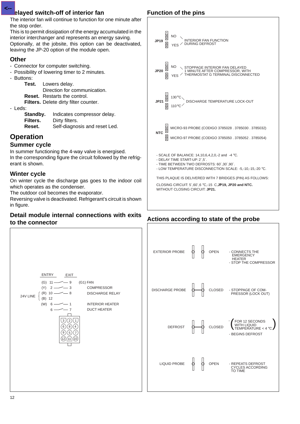### **Played switch-off of interior fan**

The interior fan will continue to function for one minute after the stop order.

This is to permit dissipation of the energy accumulated in the interior interchanger and represents an energy saving. Optionally, at the jobsite, this option can be deactivated, leaving the JP-20 option of the module open.

### **Other**

**<--**

- Connector for computer switching.
- Possibility of lowering timer to 2 minutes.
- Buttons:
	- **Test.** Lowers delay.

Direction for communication. **Reset.** Restarts the control.

- **Filters.** Delete dirty filter counter.
- Leds:

| Standby. | Indicates compressor delay.   |
|----------|-------------------------------|
| Filters. | Dirty filters.                |
| Reset.   | Self-diagnosis and reset Led. |

### **Operation**

### **Summer cycle**

In summer functioning the 4-way valve is energised. In the corresponding figure the circuit followed by the refrigerant is shown.

### **Winter cycle**

On winter cycle the discharge gas goes to the indoor coil which operates as the condenser.

The outdoor coil becomes the evaporator.

Reversing valve is deactivated. Refrigerant's circuit is shown in figure.

### **Detail module internal connections with exits to the connector**



### **Function of the pins**



### **Actions according to state of the probe**

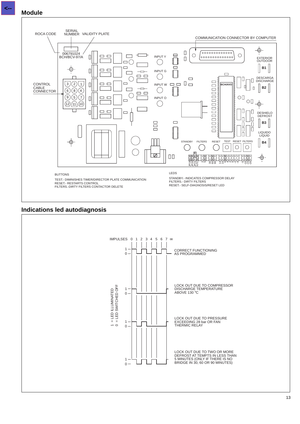**<--**



### **Indications led autodiagnosis**

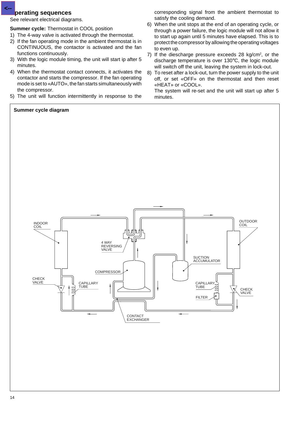### **perating sequences**

**<--**

See relevant electrical diagrams.

**Summer cycle:** Thermostat in COOL position

- 1) The 4-way valve is activated through the thermostat.
- 2) If the fan operating mode in the ambient thermostat is in CONTINUOUS, the contactor is activated and the fan functions continuously.
- 3) With the logic module timing, the unit will start ip after 5 minutes.
- 4) When the thermostat contact connects, it activates the contactor and starts the compressor. If the fan operating mode is set to «AUTO», the fan starts simultaneously with the compressor.
- 5) The unit will function intermittently in response to the

corresponding signal from the ambient thermostat to satisfy the cooling demand.

- 6) When the unit stops at the end of an operating cycle, or through a power failure, the logic module will not allow it to start up again until 5 minutes have elapsed. This is to protect the compressor by allowing the operating voltages to even up.
- 7) If the diescharge pressure exceeds 28  $kg/cm<sup>2</sup>$ , or the discharge temperature is over 130°C, the logic module will switch off the unit, leaving the system in lock-out.
- 8) To reset after a lock-out, turn the power supply to the unit off, or set «OFF» on the thermostat and then reset «HEAT» or «COOL».

The system will re-set and the unit will start up after 5 minutes.

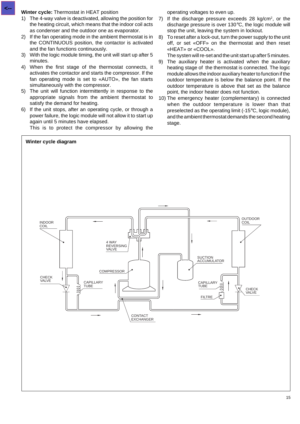#### **Winter cycle:** Thermostat in HEAT position

- 1) The 4-way valve is deactivated, allowing the position for the heating circuit, which means that the indoor coil acts as condenser and the outdoor one as evaporator.
- 2) If the fan operating mode in the ambient thermostat is in the CONTINUOUS position, the contactor is activated and the fan functions continuously.
- 3) With the logic module timing, the unit will start up after 5 minutes.
- 4) When the first stage of the thermostat connects, it activates the contactor and starts the compressor. If the fan operating mode is set to «AUTO», the fan starts simultaneously with the compressor.
- 5) The unit will function intermittently in response to the appropriate signals from the ambient thermostat to satisfy the demand for heating.
- 6) If the unit stops, after an operating cycle, or through a power failure, the logic module will not allow it to start up again until 5 minutes have elapsed.

This is to protect the compressor by allowing the

operating voltages to even up.

- 7) If the discharge pressure exceeds 28  $kg/cm<sup>2</sup>$ , or the discharge pressure is over 130°C, the logic module will stop the unit, leaving the system in lockout.
- 8) To reset after a lock-out, turn the power supply to the unit off, or set «OFF» on the thermostat and then reset «HEAT» or «COOL».

The systen will re-set and the unit start up after 5 minutes.

- 9) The auxiliary heater is activated when the auxiliary heating stage of the thermostat is connected. The logic module allows the indoor auxiliary heater to function if the outdoor temperature is below the balance point. If the outdoor temperature is above that set as the balance point, the indoor heater does not function.
- 10) The emergency heater (complementary) is connected when the outdoor temperature is lower than that preselected as the operating limit (-15°C, logic module), and the ambient thermostat demands the second heating stage.

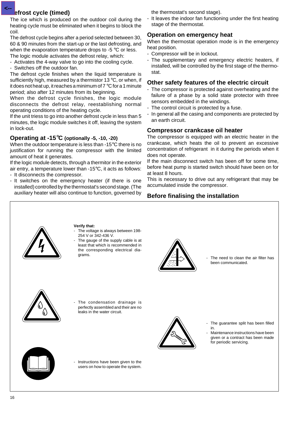### *<u>Befrost cycle</u>* (timed)

**<--**

The ice which is produced on the outdoor coil during the heating cycle must be eliminated when it begins to block the coil.

The defrost cycle begins after a period selected between 30, 60 & 90 minutes from the start-up or the last defrosting, and when the evaporation temperature drops to -5 °C or less. The logic module activates the defrost relay, which:

- Activates the 4-way valve to go into the cooling cycle.
- Switches off the outdoor fan.

The defrost cycle finishes when the liquid temperature is sufficiently high, measured by a thermistor 13 °C, or when, if it does not heat up, it reaches a minimum of 7 °C for a 1 minute period; also after 12 minutes from its beginning.

When the defrost cycle finishes, the logic module disconnects the defrost relay, reestablishing normal operating conditions of the heating cycle.

If the unit triess to go into another defrost cycle in less than 5 minutes, the logic module switches it off, leaving the system in lock-out.

### **Operating at -15**°**C (optionally -5, -10, -20)**

When the outdoor temperature is less than -15°C there is no justification for running the compressor with the limited amount of heat it generates.

If the logic module detects, through a thermitor in the exterior air entry, a temperature lower than -15°C, it acts as follows:

- It disconnects the compressor.
- It switches on the emergency heater (if there is one installed) controlled by the thermostat's second stage. (The auxiliary heater will also continue to function, governed by

the thermostat's second stage).

It leaves the indoor fan functioning under the first heating stage of the thermostat.

### **Operation on emergency heat**

When the thermostat operation mode is in the emergency heat position.

- Compressor will be in lockout.
- The supplementary and emergency electric heaters, if installed, will be controlled by the first stage of the thermostat.

### **Other safety features of the electric circuit**

- The compressor is protected against overheating and the failure of a phase by a solid state protector with three sensors embedded in the windings.
- The control circuit is protected by a fuse.
- In general all the casing and components are protected by an earth circuit.

### **Compressor crankcase oil heater**

The compressor is equipped with an electric heater in the crankcase, which heats the oil to prevent an excessive concentration of refrigerant in it during the periods when it does not operate.

If the main disconnect switch has been off for some time, before heat pump is started switch should have been on for at least 8 hours.

This is necessary to drive out any refrigerant that may be accumulated inside the compressor.

### **Before finalising the installation**

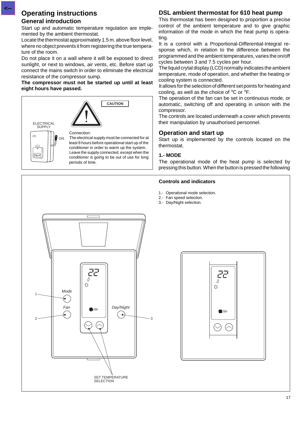### **Operating instructions**

### **General introduction**

**<--**

Start up and automatic temperature regulation are implemented by the ambient thermostat.

Locate the thermostat approximately 1.5 m. above floor level, where no object prevents it from registering the true temperature of the room.

Do not place it on a wall where it will be exposed to direct sunlight, or next to windows, air vents, etc. Before start up connect the mains switch in order to eliminate the electrical resistance of the compressor sump.

#### **The compressor must not be started up until at least eight hours have passed.**



### **DSL ambient thermostat for 610 heat pump**

This thermostat has been designed to proportion a precise control of the ambient temperature and to give graphic information of the mode in which the heat pump is operating.

It is a control with a Proportional-Differential-Integral response which, in relation to the difference between the programmed and the ambient temperatures, varies the on/off cycles between 3 and 7.5 cycles per hour.

The liquid crytal display (LCD) normally indicates the ambient temperature, mode of operation, and whether the heating or cooling system is connected.

It allows for the selection of different set points for heating and cooling, as well as the choice of °C or °F.

The operation of the fan can be set in continuous mode, or automatic, switching off and operating in unison with the compressor.

The controls are located underneath a cover which prevents their manipulation by unauthorised personnel.

### **Operation and start up**

Start up is implemented by the controls located on the thermostat.

#### **1.- MODE**

The operational mode of the heat pump is selected by pressing this button. When the button is pressed the following

#### **Controls and indicators**

- 1.- Operational mode selection.
- 2.- Fan speed selection.
- 3.- Day/Night selection.



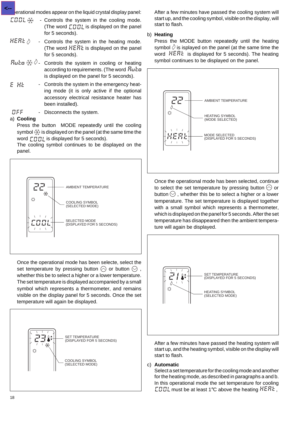erational modes appear on the liquid crystal display panel: **<--**

- COOL \*\* - Controls the system in the cooling mode. (The word  $\int \prod_i \prod_i$  is displayed on the panel for 5 seconds).
- $HEBE \oslash$ - Controls the system in the heating mode. (The word  $HERk$  is displayed on the panel for 5 seconds).
- **Ruta**  $\frac{X}{X}$   $\Diamond$  Controls the system in cooling or heating according to requirements. (The word Buch is displayed on the panel for 5 seconds).
- E HE Controls the system in the emergency heating mode (it is only active if the optional accessory electrical resistance heater has been installed).
- **DFF** Disconnects the system.

### a) **Cooling**

Press the button MODE repeatedly until the cooling symbol  $\frac{1}{2}$  is displayed on the panel (at the same time the word  $\Gamma \Pi \Pi$  is displayed for 5 seconds).

The cooling symbol continues to be displayed on the panel.



Once the operational mode has been selecte, select the set temperature by pressing button  $\odot$  or button  $\odot$ , whether this be to select a higher or a lower temperature. The set temperature is displayed accompanied by a small symbol which represents a thermometer, and remains visible on the display panel for 5 seconds. Once the set temperature will again be displayed.



After a few minutes have passed the cooling system will start up, and the cooling symbol, visible on the display, will start to flash.

### b) **Heating**

Press the MODE button repeatedly until the heating symbol  $\Diamond$  is isplayed on the panel (at the same time the word  $HERk$  is displayed for 5 seconds). The heating symbol continues to be displayed on the panel.



Once the operational mode has been selected, continue to select the set temperature by pressing button  $\Diamond$  or button  $\heartsuit$ , whether this be to select a higher or a lower temperature. The set temperature is displayed together with a small symbol which represents a thermometer, which is displayed on the panel for 5 seconds. After the set temperature has disappeared then the ambient temperature will again be displayed.



After a few minutes have passed the heating system will start up, and the heating symbol, visible on the display will start to flash.

### c) **Automatic**

Select a set temperature for the cooling mode and another for the heating mode, as described in paragraphs a and b. In this operational mode the set temperature for cooling **EBBL** must be at least 1°C above the heating  $HEBE$ ,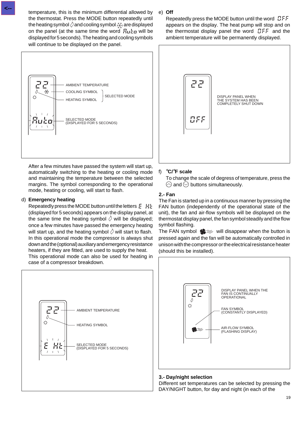temperature, this is the minimum differential allowed by the thermostat. Press the MODE button repeatedly until the heating symbol  $\Diamond$  and cooling symbol  $\breve{\times}$  are displayed on the panel (at the same time the word  $F_{\mu}$ <sub>r</sub> will be displayed for 5 seconds). The heating and cooling symbols will continue to be displayed on the panel.



After a few minutes have passed the system will start up, automatically switching to the heating or cooling mode and maintaining the temperature between the selected margins. The symbol corresponding to the operational mode, heating or cooling, will start to flash.

### d) **Emergency heating**

Repeatedly press the MODE button until the letters  $E$   $H$ (displayed for 5 seconds) appears on the display panel, at the same time the heating symbol  $\Diamond$  will be displayed; once a few minutes have passed the emergency heating will start up, and the heating symbol  $\Diamond$  will start to flash. In this operational mode the compressor is always shut down and the (optional) auxiliary and emergency resistance heaters, if they are fitted, are used to supply the heat.

This operational mode can also be used for heating in case of a compressor breakdown.



### e) **Off**

Repeatedly press the MODE button until the word  $\mathcal{BF}$ appears on the display. The heat pump will stop and on the thermostat display panel the word  $\mathbb{C}FF$  and the ambient temperature will be permanently displayed.



### f) °**C/**°**F scale**

To change the scale of degress of temperature, press the  $\Diamond$  and  $\Diamond$  buttons simultaneously.

### **2.- Fan**

The Fan is started up in a continuous manner by pressing the FAN button (independently of the operational state of the unit), the fan and air-flow symbols will be displayed on the thermostat display panel, the fan symbol steadily and the flow symbol flashing.

The FAN symbol  $\clubsuit \approx$  will disappear when the button is pressed again and the fan will be automatically controlled in unison with the compressor or the electrical resistance heater (should this be installed).



### **3.- Day/night selection**

Different set temperatures can be selected by pressing the DAY/NIGHT button, for day and night (in each of the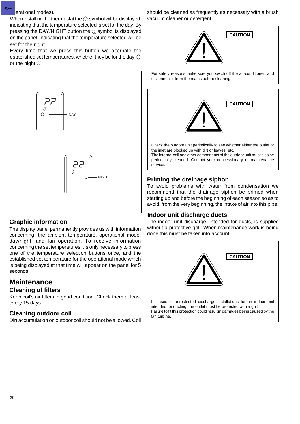#### erational modes). **<--**

When installing the thermostat the  $\Diamond$  symbol will be displayed, indicating that the temperature selected is set for the day. By pressing the DAY/NIGHT button the  $\mathcal C$  symbol is displayed on the panel, indicating that the temperature selected will be set for the night.

Every time that we press this button we alternate the established set temperatures, whether they be for the day  $\Diamond$ or the night  $\mathbb C$ .



### **Graphic information**

The display panel permanently provides us with information concerning: the ambient temperature, operational mode, day/night, and fan operation. To receive information concerning the set temperatures it is only necessary to press one of the temperature selection buttons once, and the established set temperature for the operational mode which is being displayed at that time will appear on the panel for 5 seconds.

## **Maintenance**

### **Cleaning of filters**

Keep coil's air filters in good condition. Check them at least every 15 days.

### **Cleaning outdoor coil**

Dirt accumulation on outdoor coil should not be allowed. Coil

should be cleaned as frequently as necessary with a brush vacuum cleaner or detergent.



For safety reasons make sure you swich off the air-conditioner, and disconnect it from the mains before cleaning.



### **Priming the dreinage siphon**

To avoid problems with water from condensation we recommend that the drainage siphon be primed when starting up and before the beginning of each season so as to avoid, from the very beginning, the intake of air into this pipe.

### **Indoor unit discharge ducts**

The indoor unit discharge, intended for ducts, is supplied without a protective grill. When maintenance work is being done this must be taken into account.

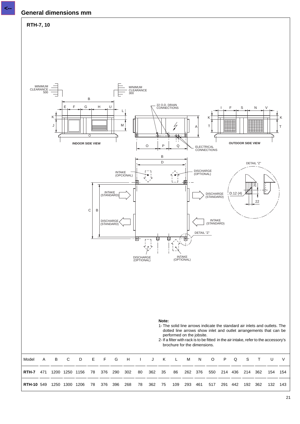### **General dimensions mm**



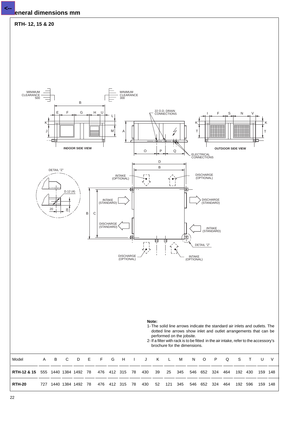### **General dimensions mm**

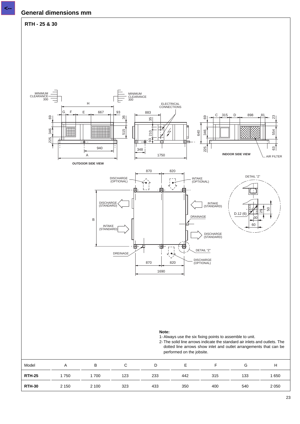### **General dimensions mm**



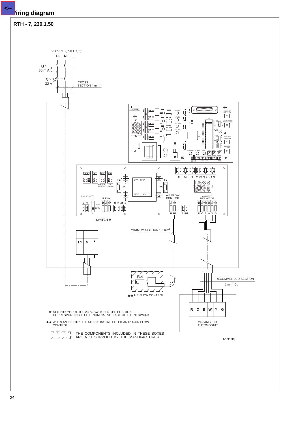### **Wiring diagram**

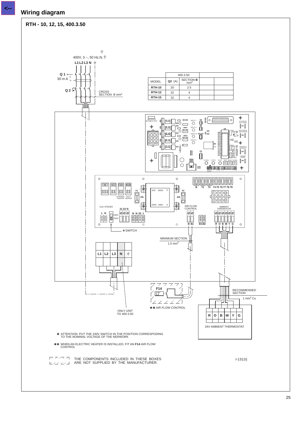**Wiring diagram**

**<--**

**RTH - 10, 12, 15, 400.3.50**

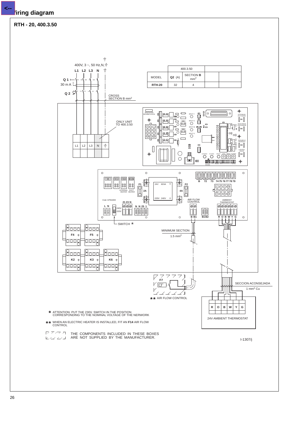**<--**

**RTH - 20, 400.3.50**

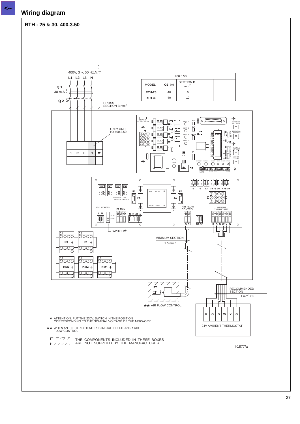**<--**

**RTH - 25 & 30, 400.3.50**



27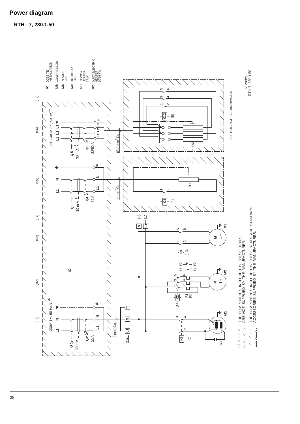

### **Power diagram**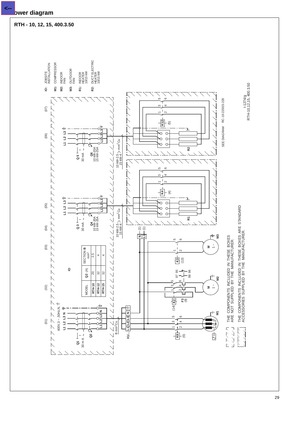

**Power diagram**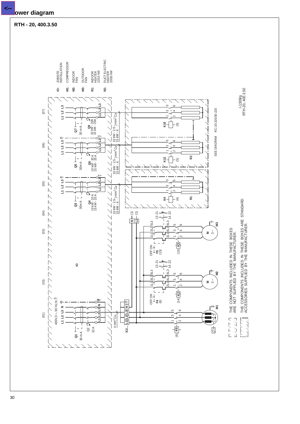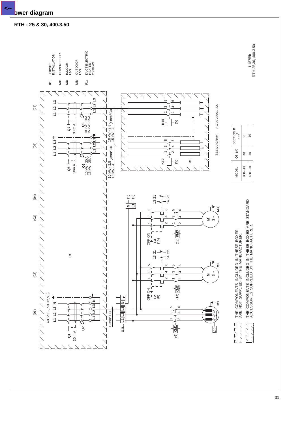

### **Power diagram**

**<--**

**RTH - 25 & 30, 400.3.50**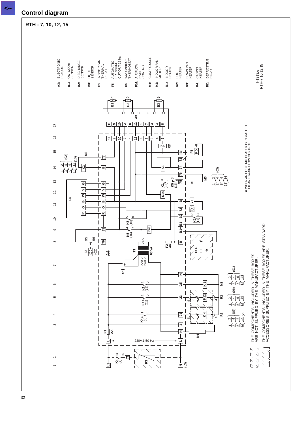### **Control diagram**

### **RTH - 7, 10, 12, 15**

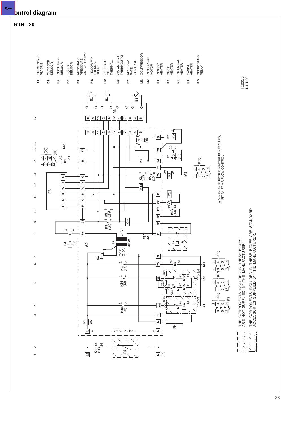

**Control diagram**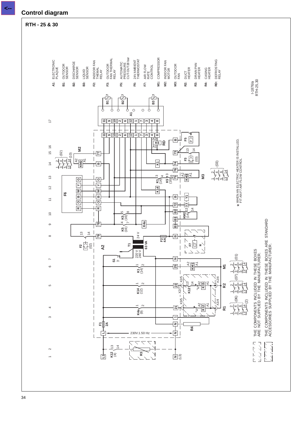![](_page_33_Figure_0.jpeg)

#### **RTH - 25 & 30**

![](_page_33_Figure_2.jpeg)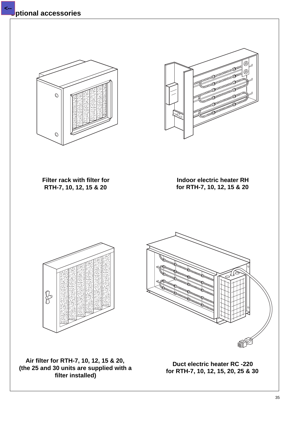![](_page_34_Picture_1.jpeg)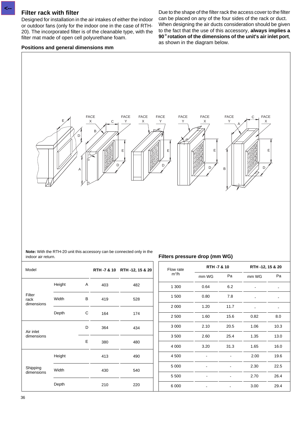#### **Filter rack with filter**

**<--**

Designed for installation in the air intakes of either the indoor or outdoor fans (only for the indoor one in the case of RTH-20). The incorporated filter is of the cleanable type, with the filter mat made of open cell polyurethane foam.

### **Positions and general dimensions mm**

Due to the shape of the filter rack the access cover to the filter can be placed on any of the four sides of the rack or duct. When designing the air ducts consideration should be given to the fact that the use of this accessory, **always implies a 90**° **rotation of the dimensions of the unit's air inlet port**, as shown in the diagram below.

![](_page_35_Figure_4.jpeg)

**Note:** With the RTH-20 unit this accessory can be connected only in the indoor air return. **Filters pressure drop (mm WG)**

8.0 10.3 13.0 16.0 19.6 22.5 26.4 29.4

-

Pa **RTH -12, 15 & 20**

| Model                   |        |   |     | RTH -7 & 10 RTH -12, 15 & 20 | Flow rate |       | RTH -7 & 10                                                                                                                                                                                                |       | RTH -12, 15 & 2 |  |
|-------------------------|--------|---|-----|------------------------------|-----------|-------|------------------------------------------------------------------------------------------------------------------------------------------------------------------------------------------------------------|-------|-----------------|--|
|                         |        |   |     |                              | $m^3/h$   | mm WG | Pa<br>6.2<br>0.64<br>0.80<br>7.8<br>11.7<br>1.20<br>1.60<br>15.6<br>2.10<br>20.5<br>2.60<br>25.4<br>3.20<br>31.3<br>$\blacksquare$<br>$\blacksquare$<br>$\blacksquare$<br>$\blacksquare$<br>$\blacksquare$ | mm WG | P               |  |
|                         | Height | A | 403 | 482                          | 1 300     |       |                                                                                                                                                                                                            |       |                 |  |
| Filter<br>rack          | Width  | В | 419 | 528                          | 1500      |       | $\blacksquare$                                                                                                                                                                                             |       |                 |  |
| dimensions              |        |   |     |                              | 2 0 0 0   |       |                                                                                                                                                                                                            |       |                 |  |
|                         | Depth  | C | 164 | 174                          | 2 5 0 0   |       |                                                                                                                                                                                                            | 0.82  | 8.              |  |
|                         |        | D | 364 | 434                          | 3 0 0 0   |       |                                                                                                                                                                                                            | 1.06  | 10              |  |
| Air inlet<br>dimensions |        |   |     |                              | 3500      |       |                                                                                                                                                                                                            | 1.35  | 13              |  |
|                         |        | E | 380 | 480                          | 4 0 0 0   |       |                                                                                                                                                                                                            | 1.65  | 16              |  |
|                         | Height |   | 413 | 490                          | 4 500     |       |                                                                                                                                                                                                            | 2.00  | 19              |  |
| Shipping                | Width  |   | 430 | 540                          | 5 0 0 0   |       |                                                                                                                                                                                                            | 2.30  | 22              |  |
| dimensions              |        |   |     |                              | 5 5 0 0   |       |                                                                                                                                                                                                            | 2.70  | 26              |  |
|                         | Depth  |   | 210 | 220                          | 6 0 0 0   |       |                                                                                                                                                                                                            | 3.00  | 29              |  |

36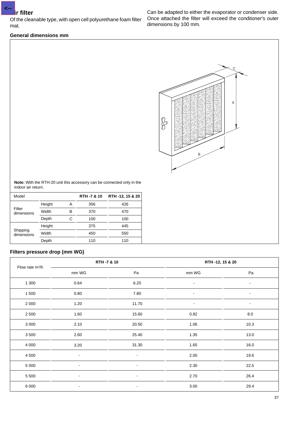**<--**

Of the cleanable type, with open cell polyurethane foam filter mat.

#### **General dimensions mm**

Can be adapted to either the evaporator or condenser side. Once attached the filter will exceed the conditoner's outer dimensions by 100 mm.

![](_page_36_Figure_4.jpeg)

**Note:** With the RTH-20 unit this accessory can be connected only in the indoor air return.

| Model                  |        |   | <b>RTH -7 &amp; 10</b> | RTH -12, 15 & 20 |
|------------------------|--------|---|------------------------|------------------|
|                        | Height | А | 356                    | 426              |
| Filter<br>dimensions   | Width  | В | 370                    | 470              |
|                        | Depth  | С | 100                    | 100              |
|                        | Height |   | 375                    | 445              |
| Shipping<br>dimensions | Width  |   | 450                    | 550              |
|                        | Depth  |   | 110                    | 110              |

### **Filters pressure drop (mm WG)**

| Flow rate m <sup>3</sup> /h |                | RTH -7 & 10              | RTH -12, 15 & 20 |                          |
|-----------------------------|----------------|--------------------------|------------------|--------------------------|
|                             | mm WG          | Pa                       | mm WG            | Pa                       |
| 1 300                       | 0.64           | 6.20                     | $\blacksquare$   | $\blacksquare$           |
| 1 500                       | 0.80           | 7.80                     | $\blacksquare$   | $\blacksquare$           |
| 2 0 0 0                     | 1.20           | 11.70                    | $\blacksquare$   | $\overline{\phantom{a}}$ |
| 2 5 0 0                     | 1.60           | 15.60                    | 0.82             | $8.0\,$                  |
| 3 0 0 0                     | 2.10           | 20.50                    | 1.06             | 10.3                     |
| 3500                        | 2.60           | 25.40                    | 1.35             | 13.0                     |
| 4 0 0 0                     | 3.20           | 31.30                    | 1.65             | 16.0                     |
| 4 500                       | $\blacksquare$ | $\blacksquare$           | 2.00             | 19.6                     |
| 5 0 0 0                     | $\blacksquare$ | $\blacksquare$           | 2.30             | 22.5                     |
| 5 5 0 0                     | $\blacksquare$ | $\blacksquare$           | 2.70             | 26.4                     |
| 6 0 0 0                     | $\blacksquare$ | $\overline{\phantom{a}}$ | 3.00             | 29.4                     |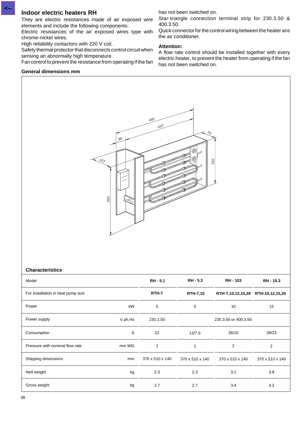### **Indoor electric heaters RH**

**<--**

They are electric resistances made of air exposed wire elements and include the following components:

Electric resistances of the air exposed wires type with chrome-nickel wires.

High reliability contactors with 220 V coil.

Safety thermal protector that disconnects control circuit when sensing an abnormally high temperature.

Fan control to prevent the resistance from operating if the fan

### **General dimensions mm**

has not been switched on.

Star-triangle connection terminal strip for 230.3.50 & 400.3.50.

Quick connector for the control wiring between the heater ans the air conditioner.

### **Attention:**

A flow rate control should be installed together with every electric heater, to prevent the heater from operating if the fan has not been switched on.

![](_page_37_Figure_12.jpeg)

#### **Characteristics**

| Model                              |              | <b>RH-5.1</b>   | <b>RH - 5.3</b> | <b>RH-103</b>        | RH - 15.3       |
|------------------------------------|--------------|-----------------|-----------------|----------------------|-----------------|
| For installation in heat pump size |              | <b>RTH-7</b>    | <b>RTH-7,10</b> | RTH-7,10,12,15,20    | RTH-10,12,15,20 |
| Power                              | kW           | 5               | 5               | 10                   | 15              |
| Power supply                       | V.ph.Hz      | 230.1.50        |                 | 230.3.50 or 400.3.50 |                 |
| Consumption                        | $\mathsf{A}$ | 22              | 13/7.5          | 26/15                | 39/23           |
| Pressure with nominal flow rate    | mm WG        | 1               | 1               | 2                    | 2               |
| Shipping dimensions                | mm           | 370 x 510 x 140 | 370 x 510 x 140 | 370 x 510 x 140      | 370 x 510 x 140 |
| Nett weight                        | kg           | 2.3             | 2.3             | 3.1                  | 3.8             |
| Gross weight                       | kg           | 2.7             | 2.7             | 3.4                  | 4.2             |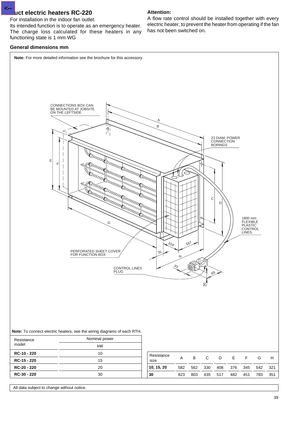### **Duct electric heaters RC-220**

For installation in the indoor fan outlet.

Its intended function is to operate as an emergency heater. The charge loss calculated for these heaters in any functioning state is 1 mm WG

#### **General dimensions mm**

**<--**

**Attention:** A flow rate control should be installed together with every electric heater, to prevent the heater from operating if the fan has not been switched on.

![](_page_38_Figure_5.jpeg)

**10, 15, 20 30**

All data subject to change without notice.

**RC-20 - 220 RC-30 - 220** 20 30

582 562 330 408 376 345 542 321 823 803 435 517 482 451 783 351